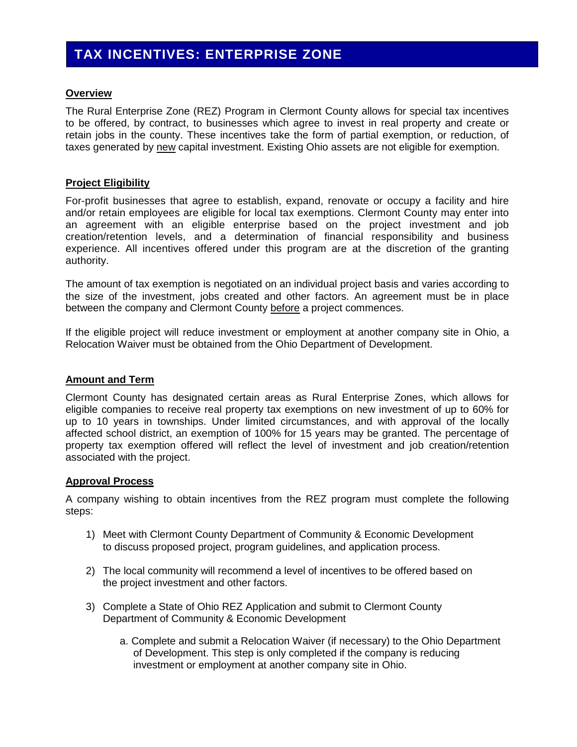# **TAX INCENTIVES: ENTERPRISE ZONE**

### **Overview**

The Rural Enterprise Zone (REZ) Program in Clermont County allows for special tax incentives to be offered, by contract, to businesses which agree to invest in real property and create or retain jobs in the county. These incentives take the form of partial exemption, or reduction, of taxes generated by new capital investment. Existing Ohio assets are not eligible for exemption.

### **Project Eligibility**

For-profit businesses that agree to establish, expand, renovate or occupy a facility and hire and/or retain employees are eligible for local tax exemptions. Clermont County may enter into an agreement with an eligible enterprise based on the project investment and job creation/retention levels, and a determination of financial responsibility and business experience. All incentives offered under this program are at the discretion of the granting authority.

The amount of tax exemption is negotiated on an individual project basis and varies according to the size of the investment, jobs created and other factors. An agreement must be in place between the company and Clermont County before a project commences.

If the eligible project will reduce investment or employment at another company site in Ohio, a Relocation Waiver must be obtained from the Ohio Department of Development.

### **Amount and Term**

Clermont County has designated certain areas as Rural Enterprise Zones, which allows for eligible companies to receive real property tax exemptions on new investment of up to 60% for up to 10 years in townships. Under limited circumstances, and with approval of the locally affected school district, an exemption of 100% for 15 years may be granted. The percentage of property tax exemption offered will reflect the level of investment and job creation/retention associated with the project.

### **Approval Process**

A company wishing to obtain incentives from the REZ program must complete the following steps:

- 1) Meet with Clermont County Department of Community & Economic Development to discuss proposed project, program guidelines, and application process.
- 2) The local community will recommend a level of incentives to be offered based on the project investment and other factors.
- 3) Complete a State of Ohio REZ Application and submit to Clermont County Department of Community & Economic Development
	- a. Complete and submit a Relocation Waiver (if necessary) to the Ohio Department of Development. This step is only completed if the company is reducing investment or employment at another company site in Ohio.